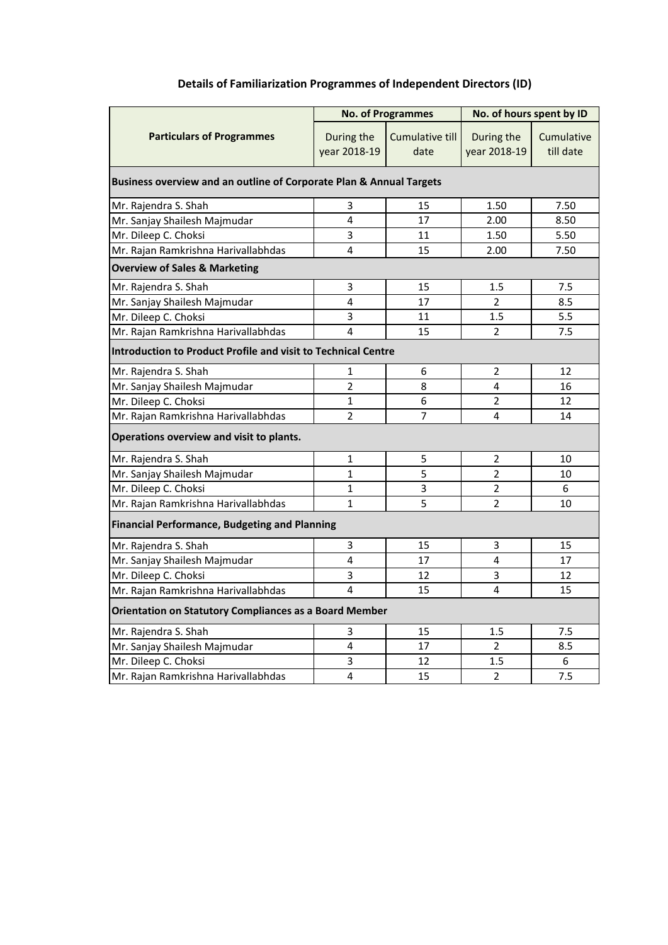| <b>Details of Familiarization Programmes of Independent Directors (ID)</b> |  |  |  |  |
|----------------------------------------------------------------------------|--|--|--|--|
|----------------------------------------------------------------------------|--|--|--|--|

|                                                                      | <b>No. of Programmes</b>                             |                         | No. of hours spent by ID   |                         |  |  |  |
|----------------------------------------------------------------------|------------------------------------------------------|-------------------------|----------------------------|-------------------------|--|--|--|
| <b>Particulars of Programmes</b>                                     | During the<br>year 2018-19                           | Cumulative till<br>date | During the<br>year 2018-19 | Cumulative<br>till date |  |  |  |
| Business overview and an outline of Corporate Plan & Annual Targets  |                                                      |                         |                            |                         |  |  |  |
| Mr. Rajendra S. Shah                                                 | 3                                                    | 15                      | 1.50                       | 7.50                    |  |  |  |
| Mr. Sanjay Shailesh Majmudar                                         | $\overline{4}$                                       | 17                      | 2.00                       | 8.50                    |  |  |  |
| Mr. Dileep C. Choksi                                                 | 3                                                    | 11                      | 1.50                       | 5.50                    |  |  |  |
| Mr. Rajan Ramkrishna Harivallabhdas                                  | $\overline{4}$                                       | 15                      | 2.00                       | 7.50                    |  |  |  |
| <b>Overview of Sales &amp; Marketing</b>                             |                                                      |                         |                            |                         |  |  |  |
| Mr. Rajendra S. Shah                                                 | 3                                                    | 15                      | 1.5                        | 7.5                     |  |  |  |
| Mr. Sanjay Shailesh Majmudar                                         | $\overline{4}$                                       | 17                      | $\overline{2}$             | 8.5                     |  |  |  |
| Mr. Dileep C. Choksi                                                 | 3                                                    | 11                      | 1.5                        | 5.5                     |  |  |  |
| Mr. Rajan Ramkrishna Harivallabhdas                                  | 4                                                    | 15                      | $\overline{2}$             | 7.5                     |  |  |  |
| <b>Introduction to Product Profile and visit to Technical Centre</b> |                                                      |                         |                            |                         |  |  |  |
| Mr. Rajendra S. Shah                                                 | $\mathbf{1}$                                         | 6                       | $\overline{2}$             | 12                      |  |  |  |
| Mr. Sanjay Shailesh Majmudar                                         | $\overline{2}$                                       | 8                       | $\overline{4}$             | 16                      |  |  |  |
| Mr. Dileep C. Choksi                                                 | $\mathbf{1}$                                         | 6                       | $\overline{2}$             | 12                      |  |  |  |
| Mr. Rajan Ramkrishna Harivallabhdas                                  | $\overline{2}$                                       | $\overline{7}$          | 4                          | 14                      |  |  |  |
| Operations overview and visit to plants.                             |                                                      |                         |                            |                         |  |  |  |
| Mr. Rajendra S. Shah                                                 | $\mathbf{1}$                                         | 5                       | $\overline{2}$             | 10                      |  |  |  |
| Mr. Sanjay Shailesh Majmudar                                         | 1                                                    | 5                       | $\overline{2}$             | 10                      |  |  |  |
| Mr. Dileep C. Choksi                                                 | 1                                                    | 3                       | $\overline{2}$             | 6                       |  |  |  |
| Mr. Rajan Ramkrishna Harivallabhdas                                  | 1                                                    | 5                       | $\overline{2}$             | 10                      |  |  |  |
|                                                                      | <b>Financial Performance, Budgeting and Planning</b> |                         |                            |                         |  |  |  |
| Mr. Rajendra S. Shah                                                 | 3                                                    | 15                      | 3                          | 15                      |  |  |  |
| Mr. Sanjay Shailesh Majmudar                                         | 4                                                    | 17                      | 4                          | 17                      |  |  |  |
| Mr. Dileep C. Choksi                                                 | 3                                                    | 12                      | 3                          | 12                      |  |  |  |
| Mr. Rajan Ramkrishna Harivallabhdas                                  | 4                                                    | 15                      | $\overline{4}$             | 15                      |  |  |  |
| <b>Orientation on Statutory Compliances as a Board Member</b>        |                                                      |                         |                            |                         |  |  |  |
| Mr. Rajendra S. Shah                                                 | 3                                                    | 15                      | 1.5                        | 7.5                     |  |  |  |
| Mr. Sanjay Shailesh Majmudar                                         | $\overline{4}$                                       | 17                      | $\overline{2}$             | 8.5                     |  |  |  |
| Mr. Dileep C. Choksi                                                 | 3                                                    | 12                      | 1.5                        | 6                       |  |  |  |
| Mr. Rajan Ramkrishna Harivallabhdas                                  | $\overline{4}$                                       | 15                      | $\overline{2}$             | 7.5                     |  |  |  |